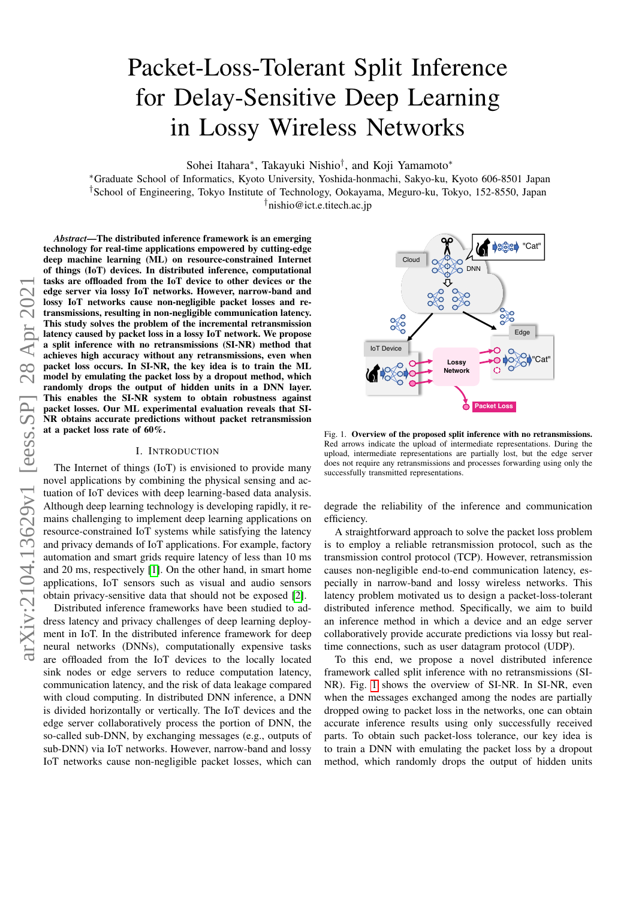# Packet-Loss-Tolerant Split Inference for Delay-Sensitive Deep Learning in Lossy Wireless Networks

Sohei Itahara<sup>∗</sup> , Takayuki Nishio† , and Koji Yamamoto<sup>∗</sup>

<sup>∗</sup>Graduate School of Informatics, Kyoto University, Yoshida-honmachi, Sakyo-ku, Kyoto 606-8501 Japan †School of Engineering, Tokyo Institute of Technology, Ookayama, Meguro-ku, Tokyo, 152-8550, Japan †nishio@ict.e.titech.ac.jp

*Abstract*—The distributed inference framework is an emerging technology for real-time applications empowered by cutting-edge deep machine learning (ML) on resource-constrained Internet of things (IoT) devices. In distributed inference, computational tasks are offloaded from the IoT device to other devices or the edge server via lossy IoT networks. However, narrow-band and lossy IoT networks cause non-negligible packet losses and retransmissions, resulting in non-negligible communication latency. This study solves the problem of the incremental retransmission latency caused by packet loss in a lossy IoT network. We propose a split inference with no retransmissions (SI-NR) method that achieves high accuracy without any retransmissions, even when packet loss occurs. In SI-NR, the key idea is to train the ML model by emulating the packet loss by a dropout method, which randomly drops the output of hidden units in a DNN layer. This enables the SI-NR system to obtain robustness against packet losses. Our ML experimental evaluation reveals that SI-NR obtains accurate predictions without packet retransmission at a packet loss rate of 60%.

### I. INTRODUCTION

The Internet of things (IoT) is envisioned to provide many novel applications by combining the physical sensing and actuation of IoT devices with deep learning-based data analysis. Although deep learning technology is developing rapidly, it remains challenging to implement deep learning applications on resource-constrained IoT systems while satisfying the latency and privacy demands of IoT applications. For example, factory automation and smart grids require latency of less than 10 ms and 20 ms, respectively [\[1\]](#page-5-0). On the other hand, in smart home applications, IoT sensors such as visual and audio sensors obtain privacy-sensitive data that should not be exposed [\[2\]](#page-5-1).

Distributed inference frameworks have been studied to address latency and privacy challenges of deep learning deployment in IoT. In the distributed inference framework for deep neural networks (DNNs), computationally expensive tasks are offloaded from the IoT devices to the locally located sink nodes or edge servers to reduce computation latency, communication latency, and the risk of data leakage compared with cloud computing. In distributed DNN inference, a DNN is divided horizontally or vertically. The IoT devices and the edge server collaboratively process the portion of DNN, the so-called sub-DNN, by exchanging messages (e.g., outputs of sub-DNN) via IoT networks. However, narrow-band and lossy IoT networks cause non-negligible packet losses, which can



<span id="page-0-0"></span>Fig. 1. Overview of the proposed split inference with no retransmissions. Red arrows indicate the upload of intermediate representations. During the upload, intermediate representations are partially lost, but the edge server does not require any retransmissions and processes forwarding using only the successfully transmitted representations.

degrade the reliability of the inference and communication efficiency.

A straightforward approach to solve the packet loss problem is to employ a reliable retransmission protocol, such as the transmission control protocol (TCP). However, retransmission causes non-negligible end-to-end communication latency, especially in narrow-band and lossy wireless networks. This latency problem motivated us to design a packet-loss-tolerant distributed inference method. Specifically, we aim to build an inference method in which a device and an edge server collaboratively provide accurate predictions via lossy but realtime connections, such as user datagram protocol (UDP).

To this end, we propose a novel distributed inference framework called split inference with no retransmissions (SI-NR). Fig. [1](#page-0-0) shows the overview of SI-NR. In SI-NR, even when the messages exchanged among the nodes are partially dropped owing to packet loss in the networks, one can obtain accurate inference results using only successfully received parts. To obtain such packet-loss tolerance, our key idea is to train a DNN with emulating the packet loss by a dropout method, which randomly drops the output of hidden units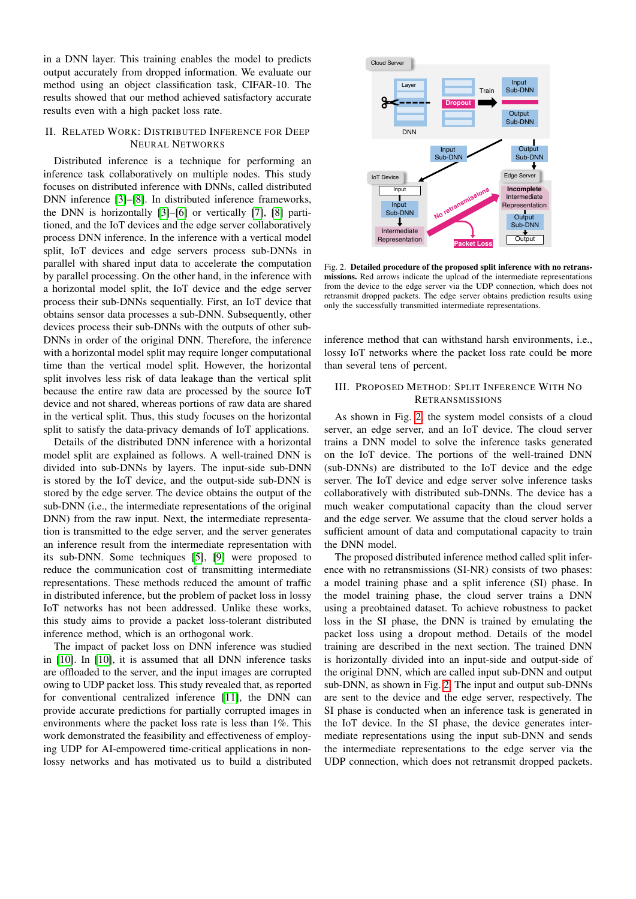in a DNN layer. This training enables the model to predicts output accurately from dropped information. We evaluate our method using an object classification task, CIFAR-10. The results showed that our method achieved satisfactory accurate results even with a high packet loss rate.

# II. RELATED WORK: DISTRIBUTED INFERENCE FOR DEEP NEURAL NETWORKS

Distributed inference is a technique for performing an inference task collaboratively on multiple nodes. This study focuses on distributed inference with DNNs, called distributed DNN inference [\[3\]](#page-5-2)–[\[8\]](#page-5-3). In distributed inference frameworks, the DNN is horizontally [\[3\]](#page-5-2)–[\[6\]](#page-5-4) or vertically [\[7\]](#page-5-5), [\[8\]](#page-5-3) partitioned, and the IoT devices and the edge server collaboratively process DNN inference. In the inference with a vertical model split, IoT devices and edge servers process sub-DNNs in parallel with shared input data to accelerate the computation by parallel processing. On the other hand, in the inference with a horizontal model split, the IoT device and the edge server process their sub-DNNs sequentially. First, an IoT device that obtains sensor data processes a sub-DNN. Subsequently, other devices process their sub-DNNs with the outputs of other sub-DNNs in order of the original DNN. Therefore, the inference with a horizontal model split may require longer computational time than the vertical model split. However, the horizontal split involves less risk of data leakage than the vertical split because the entire raw data are processed by the source IoT device and not shared, whereas portions of raw data are shared in the vertical split. Thus, this study focuses on the horizontal split to satisfy the data-privacy demands of IoT applications.

Details of the distributed DNN inference with a horizontal model split are explained as follows. A well-trained DNN is divided into sub-DNNs by layers. The input-side sub-DNN is stored by the IoT device, and the output-side sub-DNN is stored by the edge server. The device obtains the output of the sub-DNN (i.e., the intermediate representations of the original DNN) from the raw input. Next, the intermediate representation is transmitted to the edge server, and the server generates an inference result from the intermediate representation with its sub-DNN. Some techniques [\[5\]](#page-5-6), [\[9\]](#page-5-7) were proposed to reduce the communication cost of transmitting intermediate representations. These methods reduced the amount of traffic in distributed inference, but the problem of packet loss in lossy IoT networks has not been addressed. Unlike these works, this study aims to provide a packet loss-tolerant distributed inference method, which is an orthogonal work.

The impact of packet loss on DNN inference was studied in [\[10\]](#page-5-8). In [\[10\]](#page-5-8), it is assumed that all DNN inference tasks are offloaded to the server, and the input images are corrupted owing to UDP packet loss. This study revealed that, as reported for conventional centralized inference [\[11\]](#page-5-9), the DNN can provide accurate predictions for partially corrupted images in environments where the packet loss rate is less than 1%. This work demonstrated the feasibility and effectiveness of employing UDP for AI-empowered time-critical applications in nonlossy networks and has motivated us to build a distributed



<span id="page-1-0"></span>Fig. 2. Detailed procedure of the proposed split inference with no retransmissions. Red arrows indicate the upload of the intermediate representations from the device to the edge server via the UDP connection, which does not retransmit dropped packets. The edge server obtains prediction results using only the successfully transmitted intermediate representations.

inference method that can withstand harsh environments, i.e., lossy IoT networks where the packet loss rate could be more than several tens of percent.

# <span id="page-1-1"></span>III. PROPOSED METHOD: SPLIT INFERENCE WITH NO **RETRANSMISSIONS**

As shown in Fig. [2,](#page-1-0) the system model consists of a cloud server, an edge server, and an IoT device. The cloud server trains a DNN model to solve the inference tasks generated on the IoT device. The portions of the well-trained DNN (sub-DNNs) are distributed to the IoT device and the edge server. The IoT device and edge server solve inference tasks collaboratively with distributed sub-DNNs. The device has a much weaker computational capacity than the cloud server and the edge server. We assume that the cloud server holds a sufficient amount of data and computational capacity to train the DNN model.

The proposed distributed inference method called split inference with no retransmissions (SI-NR) consists of two phases: a model training phase and a split inference (SI) phase. In the model training phase, the cloud server trains a DNN using a preobtained dataset. To achieve robustness to packet loss in the SI phase, the DNN is trained by emulating the packet loss using a dropout method. Details of the model training are described in the next section. The trained DNN is horizontally divided into an input-side and output-side of the original DNN, which are called input sub-DNN and output sub-DNN, as shown in Fig. [2.](#page-1-0) The input and output sub-DNNs are sent to the device and the edge server, respectively. The SI phase is conducted when an inference task is generated in the IoT device. In the SI phase, the device generates intermediate representations using the input sub-DNN and sends the intermediate representations to the edge server via the UDP connection, which does not retransmit dropped packets.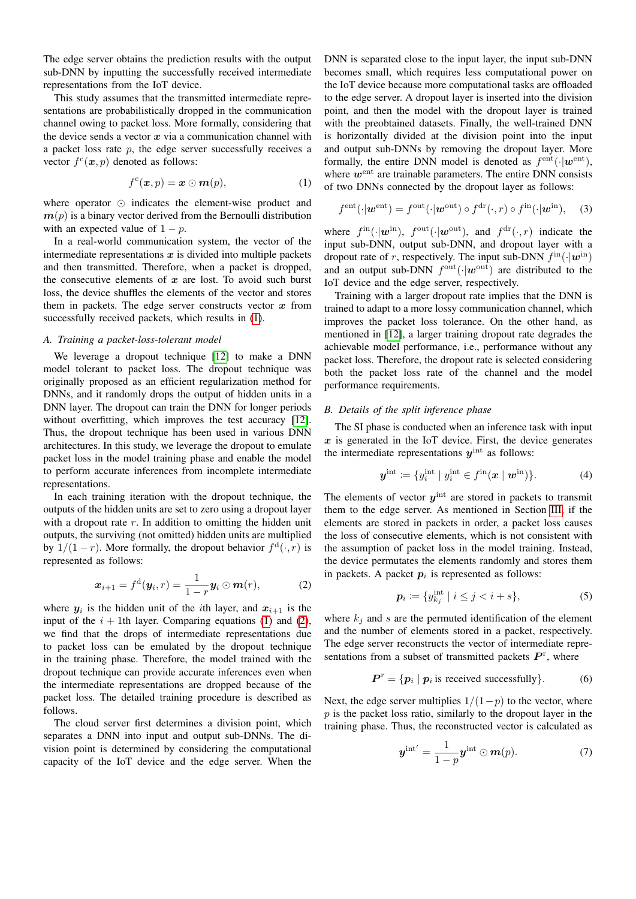The edge server obtains the prediction results with the output sub-DNN by inputting the successfully received intermediate representations from the IoT device.

This study assumes that the transmitted intermediate representations are probabilistically dropped in the communication channel owing to packet loss. More formally, considering that the device sends a vector  $x$  via a communication channel with a packet loss rate  $p$ , the edge server successfully receives a vector  $f^c(\boldsymbol{x}, p)$  denoted as follows:

$$
f^{\mathrm{c}}(\boldsymbol{x},p)=\boldsymbol{x}\odot\boldsymbol{m}(p),\qquad \qquad (1)
$$

where operator  $\odot$  indicates the element-wise product and  $m(p)$  is a binary vector derived from the Bernoulli distribution with an expected value of  $1 - p$ .

In a real-world communication system, the vector of the intermediate representations  $x$  is divided into multiple packets and then transmitted. Therefore, when a packet is dropped, the consecutive elements of  $x$  are lost. To avoid such burst loss, the device shuffles the elements of the vector and stores them in packets. The edge server constructs vector  $x$  from successfully received packets, which results in [\(1\)](#page-2-0).

## *A. Training a packet-loss-tolerant model*

We leverage a dropout technique [\[12\]](#page-5-10) to make a DNN model tolerant to packet loss. The dropout technique was originally proposed as an efficient regularization method for DNNs, and it randomly drops the output of hidden units in a DNN layer. The dropout can train the DNN for longer periods without overfitting, which improves the test accuracy [\[12\]](#page-5-10). Thus, the dropout technique has been used in various DNN architectures. In this study, we leverage the dropout to emulate packet loss in the model training phase and enable the model to perform accurate inferences from incomplete intermediate representations.

In each training iteration with the dropout technique, the outputs of the hidden units are set to zero using a dropout layer with a dropout rate  $r$ . In addition to omitting the hidden unit outputs, the surviving (not omitted) hidden units are multiplied by  $1/(1-r)$ . More formally, the dropout behavior  $f^d(\cdot,r)$  is represented as follows:

$$
\boldsymbol{x}_{i+1} = f^{\mathrm{d}}(\boldsymbol{y}_i, r) = \frac{1}{1-r} \boldsymbol{y}_i \odot \boldsymbol{m}(r), \tag{2}
$$

where  $y_i$  is the hidden unit of the *i*th layer, and  $x_{i+1}$  is the input of the  $i + 1$ th layer. Comparing equations [\(1\)](#page-2-0) and [\(2\)](#page-2-1), we find that the drops of intermediate representations due to packet loss can be emulated by the dropout technique in the training phase. Therefore, the model trained with the dropout technique can provide accurate inferences even when the intermediate representations are dropped because of the packet loss. The detailed training procedure is described as follows.

The cloud server first determines a division point, which separates a DNN into input and output sub-DNNs. The division point is determined by considering the computational capacity of the IoT device and the edge server. When the

DNN is separated close to the input layer, the input sub-DNN becomes small, which requires less computational power on the IoT device because more computational tasks are offloaded to the edge server. A dropout layer is inserted into the division point, and then the model with the dropout layer is trained with the preobtained datasets. Finally, the well-trained DNN is horizontally divided at the division point into the input and output sub-DNNs by removing the dropout layer. More formally, the entire DNN model is denoted as  $f<sup>ent</sup>(·|\boldsymbol{w}^{ent})$ , where  $w^{\text{ent}}$  are trainable parameters. The entire DNN consists of two DNNs connected by the dropout layer as follows:

<span id="page-2-0"></span>
$$
f^{\text{ent}}(\cdot|\boldsymbol{w}^{\text{ent}}) = f^{\text{out}}(\cdot|\boldsymbol{w}^{\text{out}}) \circ f^{\text{dr}}(\cdot,r) \circ f^{\text{in}}(\cdot|\boldsymbol{w}^{\text{in}}),\quad(3)
$$

where  $f^{\text{in}}(\cdot|\mathbf{w}^{\text{in}})$ ,  $f^{\text{out}}(\cdot|\mathbf{w}^{\text{out}})$ , and  $f^{\text{dr}}(\cdot,r)$  indicate the input sub-DNN, output sub-DNN, and dropout layer with a dropout rate of r, respectively. The input sub-DNN  $f^{\text{in}}(\cdot|\boldsymbol{w}^{\text{in}})$ and an output sub-DNN  $f^{\text{out}}(\cdot|\boldsymbol{w}^{\text{out}})$  are distributed to the IoT device and the edge server, respectively.

Training with a larger dropout rate implies that the DNN is trained to adapt to a more lossy communication channel, which improves the packet loss tolerance. On the other hand, as mentioned in [\[12\]](#page-5-10), a larger training dropout rate degrades the achievable model performance, i.e., performance without any packet loss. Therefore, the dropout rate is selected considering both the packet loss rate of the channel and the model performance requirements.

#### *B. Details of the split inference phase*

The SI phase is conducted when an inference task with input  $x$  is generated in the IoT device. First, the device generates the intermediate representations  $y^{\text{int}}$  as follows:

$$
\boldsymbol{y}^{\text{int}} \coloneqq \{y_i^{\text{int}} \mid y_i^{\text{int}} \in f^{\text{in}}(\boldsymbol{x} \mid \boldsymbol{w}^{\text{in}}) \}.
$$
 (4)

The elements of vector  $y<sup>int</sup>$  are stored in packets to transmit them to the edge server. As mentioned in Section [III,](#page-1-1) if the elements are stored in packets in order, a packet loss causes the loss of consecutive elements, which is not consistent with the assumption of packet loss in the model training. Instead, the device permutates the elements randomly and stores them in packets. A packet  $p_i$  is represented as follows:

$$
\boldsymbol{p}_i \coloneqq \{ y_{k_j}^{\text{int}} \mid i \leq j < i + s \},\tag{5}
$$

<span id="page-2-1"></span>where  $k_j$  and s are the permuted identification of the element and the number of elements stored in a packet, respectively. The edge server reconstructs the vector of intermediate representations from a subset of transmitted packets  $P<sup>r</sup>$ , where

$$
\boldsymbol{P}^{\text{r}} = \{ \boldsymbol{p}_i \mid \boldsymbol{p}_i \text{ is received successfully} \}. \tag{6}
$$

Next, the edge server multiplies  $1/(1-p)$  to the vector, where  $p$  is the packet loss ratio, similarly to the dropout layer in the training phase. Thus, the reconstructed vector is calculated as

$$
\boldsymbol{y}^{\text{int}'} = \frac{1}{1-p} \boldsymbol{y}^{\text{int}} \odot \boldsymbol{m}(p). \tag{7}
$$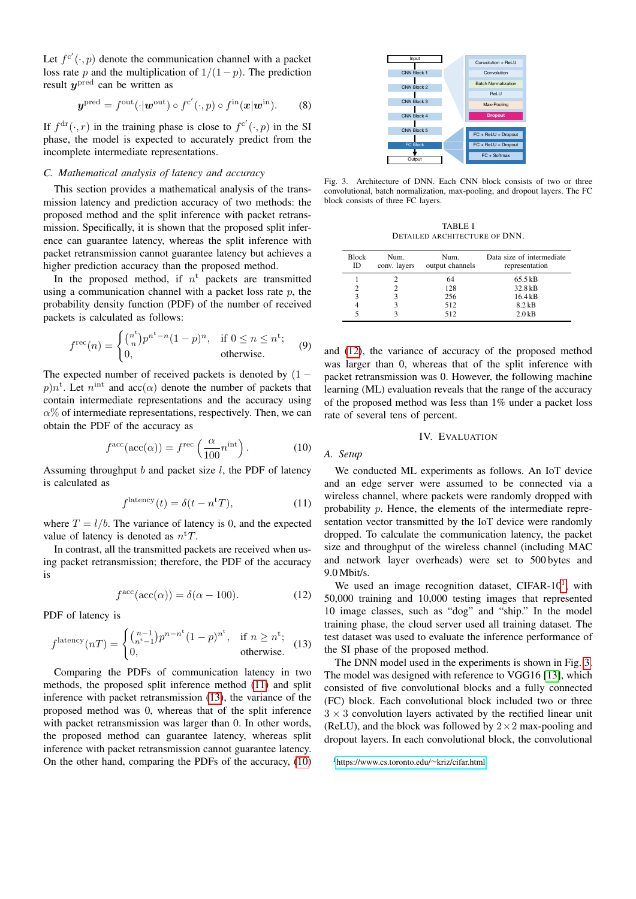Let  $f^{c'}(\cdot, p)$  denote the communication channel with a packet loss rate p and the multiplication of  $1/(1-p)$ . The prediction result  $y^{\text{pred}}$  can be written as

$$
\boldsymbol{y}^{\text{pred}} = f^{\text{out}}(\cdot | \boldsymbol{w}^{\text{out}}) \circ f^{c'}(\cdot, p) \circ f^{\text{in}}(\boldsymbol{x} | \boldsymbol{w}^{\text{in}}). \qquad (8)
$$

If  $f^{dr}(\cdot, r)$  in the training phase is close to  $f^{c'}(\cdot, p)$  in the SI phase, the model is expected to accurately predict from the incomplete intermediate representations.

#### *C. Mathematical analysis of latency and accuracy*

This section provides a mathematical analysis of the transmission latency and prediction accuracy of two methods: the proposed method and the split inference with packet retransmission. Specifically, it is shown that the proposed split inference can guarantee latency, whereas the split inference with packet retransmission cannot guarantee latency but achieves a higher prediction accuracy than the proposed method.

In the proposed method, if  $n^t$  packets are transmitted using a communication channel with a packet loss rate  $p$ , the probability density function (PDF) of the number of received packets is calculated as follows:

$$
f^{\text{rec}}(n) = \begin{cases} {n \choose n} p^{n^t - n} (1 - p)^n, & \text{if } 0 \le n \le n^t; \\ 0, & \text{otherwise.} \end{cases}
$$
(9)

The expected number of received packets is denoted by  $(1$  $p)n^t$ . Let  $n^{\text{int}}$  and  $\text{acc}(\alpha)$  denote the number of packets that contain intermediate representations and the accuracy using  $\alpha$ % of intermediate representations, respectively. Then, we can obtain the PDF of the accuracy as

$$
f^{\rm acc}(\text{acc}(\alpha)) = f^{\rm rec}\left(\frac{\alpha}{100}n^{\rm int}\right). \tag{10}
$$

Assuming throughput  $b$  and packet size  $l$ , the PDF of latency is calculated as

$$
flatency(t) = \delta(t - ntT),
$$
\n(11)

where  $T = l/b$ . The variance of latency is 0, and the expected value of latency is denoted as  $n<sup>t</sup>T$ .

In contrast, all the transmitted packets are received when using packet retransmission; therefore, the PDF of the accuracy is

$$
f^{\rm acc}(\text{acc}(\alpha)) = \delta(\alpha - 100). \tag{12}
$$

PDF of latency is

$$
f^{\text{latency}}(n) = \begin{cases} {n-1 \choose n^{t}-1} p^{n-n^{t}} (1-p)^{n^{t}}, & \text{if } n \geq n^{t}; \\ 0, & \text{otherwise.} \end{cases}
$$
 (13)

Comparing the PDFs of communication latency in two methods, the proposed split inference method [\(11\)](#page-3-0) and split inference with packet retransmission [\(13\)](#page-3-1), the variance of the proposed method was 0, whereas that of the split inference with packet retransmission was larger than 0. In other words, the proposed method can guarantee latency, whereas split inference with packet retransmission cannot guarantee latency. On the other hand, comparing the PDFs of the accuracy, [\(10\)](#page-3-2)



<span id="page-3-5"></span>Fig. 3. Architecture of DNN. Each CNN block consists of two or three convolutional, batch normalization, max-pooling, and dropout layers. The FC block consists of three FC layers.

TABLE I DETAILED ARCHITECTURE OF DNN.

<span id="page-3-6"></span>

| <b>Block</b><br>ID | Num.<br>conv. layers | Num.<br>output channels | Data size of intermediate<br>representation |
|--------------------|----------------------|-------------------------|---------------------------------------------|
|                    |                      | 64                      | 65.5 kB                                     |
|                    |                      | 128                     | 32.8 kB                                     |
| 3                  |                      | 256                     | 16.4 kB                                     |
|                    |                      | 512                     | $8.2$ kB                                    |
|                    |                      | 512                     | $2.0$ kB                                    |

and [\(12\)](#page-3-3), the variance of accuracy of the proposed method was larger than 0, whereas that of the split inference with packet retransmission was 0. However, the following machine learning (ML) evaluation reveals that the range of the accuracy of the proposed method was less than 1% under a packet loss rate of several tens of percent.

### IV. EVALUATION

#### <span id="page-3-7"></span><span id="page-3-2"></span>*A. Setup*

<span id="page-3-0"></span>We conducted ML experiments as follows. An IoT device and an edge server were assumed to be connected via a wireless channel, where packets were randomly dropped with probability p. Hence, the elements of the intermediate representation vector transmitted by the IoT device were randomly dropped. To calculate the communication latency, the packet size and throughput of the wireless channel (including MAC and network layer overheads) were set to 500 bytes and 9.0 Mbit/s.

<span id="page-3-3"></span>We used an image recognition dataset, CIFAR- $10<sup>1</sup>$  $10<sup>1</sup>$ , with 50,000 training and 10,000 testing images that represented 10 image classes, such as "dog" and "ship." In the model training phase, the cloud server used all training dataset. The test dataset was used to evaluate the inference performance of the SI phase of the proposed method.

<span id="page-3-1"></span>The DNN model used in the experiments is shown in Fig. [3.](#page-3-5) The model was designed with reference to VGG16 [\[13\]](#page-5-11), which consisted of five convolutional blocks and a fully connected (FC) block. Each convolutional block included two or three  $3 \times 3$  convolution layers activated by the rectified linear unit (ReLU), and the block was followed by  $2 \times 2$  max-pooling and dropout layers. In each convolutional block, the convolutional

<span id="page-3-4"></span><sup>1</sup>[https://www.cs.toronto.edu/](https://www.cs.toronto.edu/~kriz/cifar.html)∼kriz/cifar.html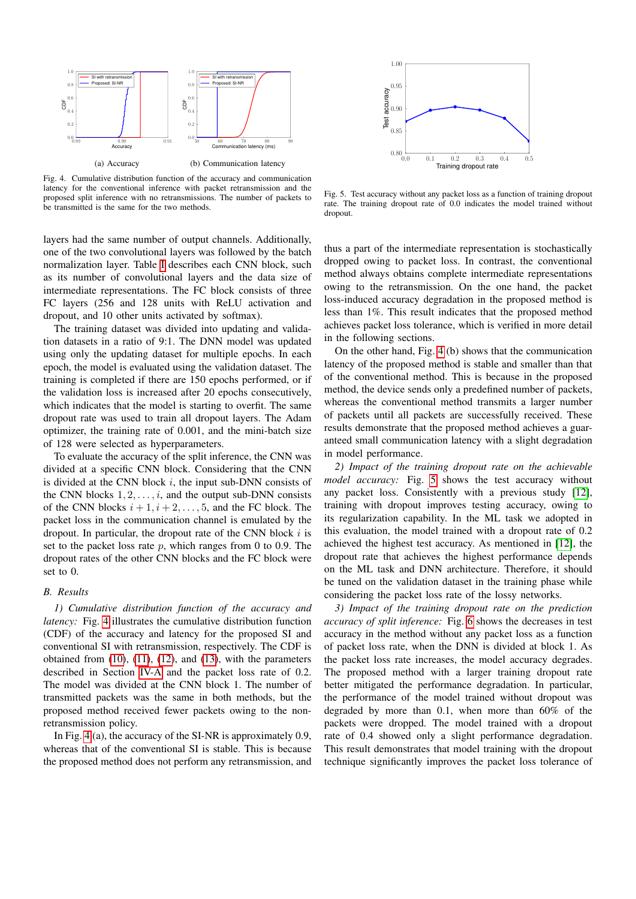

<span id="page-4-0"></span>Fig. 4. Cumulative distribution function of the accuracy and communication latency for the conventional inference with packet retransmission and the proposed split inference with no retransmissions. The number of packets to be transmitted is the same for the two methods.

layers had the same number of output channels. Additionally, one of the two convolutional layers was followed by the batch normalization layer. Table [I](#page-3-6) describes each CNN block, such as its number of convolutional layers and the data size of intermediate representations. The FC block consists of three FC layers (256 and 128 units with ReLU activation and dropout, and 10 other units activated by softmax).

The training dataset was divided into updating and validation datasets in a ratio of 9:1. The DNN model was updated using only the updating dataset for multiple epochs. In each epoch, the model is evaluated using the validation dataset. The training is completed if there are 150 epochs performed, or if the validation loss is increased after 20 epochs consecutively, which indicates that the model is starting to overfit. The same dropout rate was used to train all dropout layers. The Adam optimizer, the training rate of 0.001, and the mini-batch size of 128 were selected as hyperparameters.

To evaluate the accuracy of the split inference, the CNN was divided at a specific CNN block. Considering that the CNN is divided at the CNN block  $i$ , the input sub-DNN consists of the CNN blocks  $1, 2, \ldots, i$ , and the output sub-DNN consists of the CNN blocks  $i + 1, i + 2, \ldots, 5$ , and the FC block. The packet loss in the communication channel is emulated by the dropout. In particular, the dropout rate of the CNN block  $i$  is set to the packet loss rate  $p$ , which ranges from 0 to 0.9. The dropout rates of the other CNN blocks and the FC block were set to 0.

#### *B. Results*

*1) Cumulative distribution function of the accuracy and latency:* Fig. [4](#page-4-0) illustrates the cumulative distribution function (CDF) of the accuracy and latency for the proposed SI and conventional SI with retransmission, respectively. The CDF is obtained from [\(10\)](#page-3-2), [\(11\)](#page-3-0), [\(12\)](#page-3-3), and [\(13\)](#page-3-1), with the parameters described in Section [IV-A](#page-3-7) and the packet loss rate of 0.2. The model was divided at the CNN block 1. The number of transmitted packets was the same in both methods, but the proposed method received fewer packets owing to the nonretransmission policy.

In Fig. [4](#page-4-0) (a), the accuracy of the SI-NR is approximately 0.9, whereas that of the conventional SI is stable. This is because the proposed method does not perform any retransmission, and



<span id="page-4-1"></span>Fig. 5. Test accuracy without any packet loss as a function of training dropout rate. The training dropout rate of 0.0 indicates the model trained without dropout.

thus a part of the intermediate representation is stochastically dropped owing to packet loss. In contrast, the conventional method always obtains complete intermediate representations owing to the retransmission. On the one hand, the packet loss-induced accuracy degradation in the proposed method is less than 1%. This result indicates that the proposed method achieves packet loss tolerance, which is verified in more detail in the following sections.

On the other hand, Fig. [4](#page-4-0) (b) shows that the communication latency of the proposed method is stable and smaller than that of the conventional method. This is because in the proposed method, the device sends only a predefined number of packets, whereas the conventional method transmits a larger number of packets until all packets are successfully received. These results demonstrate that the proposed method achieves a guaranteed small communication latency with a slight degradation in model performance.

*2) Impact of the training dropout rate on the achievable model accuracy:* Fig. [5](#page-4-1) shows the test accuracy without any packet loss. Consistently with a previous study [\[12\]](#page-5-10), training with dropout improves testing accuracy, owing to its regularization capability. In the ML task we adopted in this evaluation, the model trained with a dropout rate of 0.2 achieved the highest test accuracy. As mentioned in [\[12\]](#page-5-10), the dropout rate that achieves the highest performance depends on the ML task and DNN architecture. Therefore, it should be tuned on the validation dataset in the training phase while considering the packet loss rate of the lossy networks.

*3) Impact of the training dropout rate on the prediction accuracy of split inference:* Fig. [6](#page-5-12) shows the decreases in test accuracy in the method without any packet loss as a function of packet loss rate, when the DNN is divided at block 1. As the packet loss rate increases, the model accuracy degrades. The proposed method with a larger training dropout rate better mitigated the performance degradation. In particular, the performance of the model trained without dropout was degraded by more than 0.1, when more than 60% of the packets were dropped. The model trained with a dropout rate of 0.4 showed only a slight performance degradation. This result demonstrates that model training with the dropout technique significantly improves the packet loss tolerance of